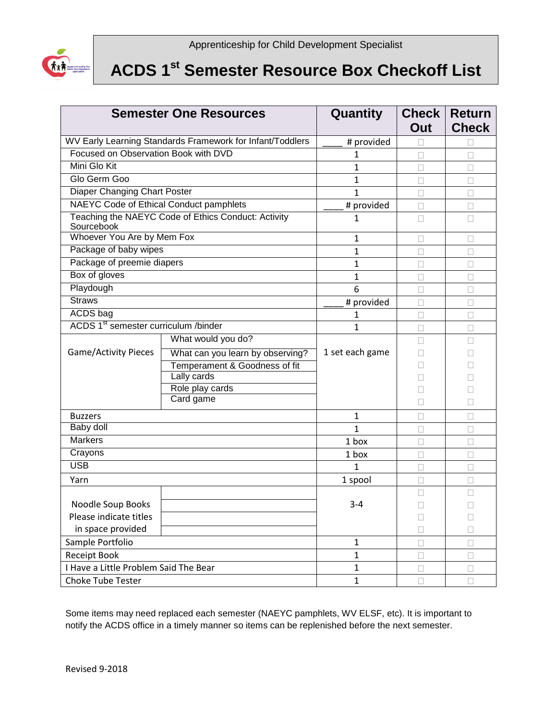

## **ACDS 1st Semester Resource Box Checkoff List**

| <b>Semester One Resources</b>                                     |                                  | Quantity        | <b>Check</b><br>Out | <b>Return</b><br><b>Check</b> |
|-------------------------------------------------------------------|----------------------------------|-----------------|---------------------|-------------------------------|
| WV Early Learning Standards Framework for Infant/Toddlers         |                                  | # provided      |                     |                               |
| Focused on Observation Book with DVD                              |                                  | 1               |                     |                               |
| Mini Glo Kit                                                      |                                  | $\mathbf{1}$    | $\Box$              | $\Box$                        |
| Glo Germ Goo                                                      |                                  | $\mathbf{1}$    | Ш                   | u                             |
| Diaper Changing Chart Poster                                      |                                  | $\mathbf{1}$    |                     |                               |
| NAEYC Code of Ethical Conduct pamphlets                           |                                  | # provided      | $\Box$              | $\Box$                        |
| Teaching the NAEYC Code of Ethics Conduct: Activity<br>Sourcebook |                                  | 1               | П                   | П                             |
| Whoever You Are by Mem Fox                                        |                                  | $\mathbf{1}$    | $\Box$              | $\Box$                        |
| Package of baby wipes                                             |                                  | $\mathbf{1}$    |                     | Ш                             |
| Package of preemie diapers                                        |                                  | $\mathbf{1}$    |                     |                               |
| Box of gloves                                                     |                                  | $\mathbf{1}$    | П                   | П                             |
| Playdough                                                         |                                  | 6               |                     | $\Box$                        |
| <b>Straws</b>                                                     |                                  | # provided      |                     |                               |
| <b>ACDS</b> bag                                                   |                                  | 1               | $\Box$              | П                             |
| ACDS 1 <sup>st</sup> semester curriculum /binder                  |                                  | $\mathbf{1}$    | П                   | П                             |
| Game/Activity Pieces                                              | What would you do?               |                 |                     |                               |
|                                                                   | What can you learn by observing? | 1 set each game |                     |                               |
|                                                                   | Temperament & Goodness of fit    |                 |                     |                               |
|                                                                   | Lally cards                      |                 |                     |                               |
|                                                                   | Role play cards<br>Card game     |                 |                     |                               |
|                                                                   |                                  |                 |                     |                               |
| <b>Buzzers</b>                                                    |                                  | 1               |                     |                               |
| Baby doll                                                         |                                  | $\mathbf{1}$    |                     | П                             |
| <b>Markers</b>                                                    |                                  | 1 box           |                     | $\Box$                        |
| Crayons                                                           |                                  | 1 box           | П                   | П                             |
| <b>USB</b>                                                        |                                  | $\mathbf{1}$    | П                   | П                             |
| Yarn                                                              |                                  | 1 spool         |                     | $\Box$                        |
|                                                                   |                                  |                 | П                   | П                             |
| Noodle Soup Books                                                 |                                  | $3 - 4$         |                     |                               |
| Please indicate titles                                            |                                  |                 | $\Box$              | $\Box$                        |
| in space provided                                                 |                                  |                 | L                   | Ш                             |
| Sample Portfolio                                                  |                                  | $\mathbf{1}$    | $\Box$              | □                             |
| Receipt Book                                                      |                                  | $\mathbf{1}$    | $\Box$              | $\Box$                        |
| I Have a Little Problem Said The Bear                             |                                  | $\mathbf{1}$    | П                   | $\Box$                        |
| <b>Choke Tube Tester</b>                                          |                                  | $\mathbf 1$     | $\Box$              | $\Box$                        |

Some items may need replaced each semester (NAEYC pamphlets, WV ELSF, etc). It is important to notify the ACDS office in a timely manner so items can be replenished before the next semester.